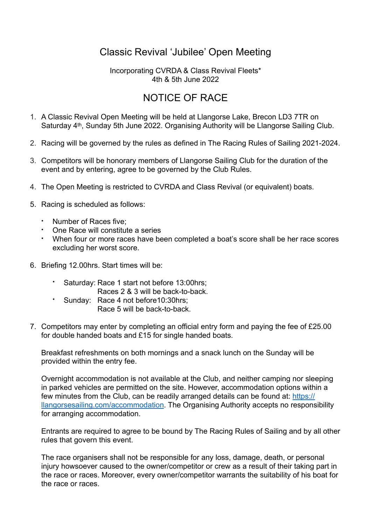## Classic Revival 'Jubilee' Open Meeting

## Incorporating CVRDA & Class Revival Fleets\* 4th & 5th June 2022

## NOTICE OF RACE

- 1. A Classic Revival Open Meeting will be held at Llangorse Lake, Brecon LD3 7TR on Saturday 4<sup>th</sup>, Sunday 5th June 2022. Organising Authority will be Llangorse Sailing Club.
- 2. Racing will be governed by the rules as defined in The Racing Rules of Sailing 2021-2024.
- 3. Competitors will be honorary members of Llangorse Sailing Club for the duration of the event and by entering, agree to be governed by the Club Rules.
- 4. The Open Meeting is restricted to CVRDA and Class Revival (or equivalent) boats.
- 5. Racing is scheduled as follows:
	- Number of Races five;
	- One Race will constitute a series
	- When four or more races have been completed a boat's score shall be her race scores excluding her worst score.
- 6. Briefing 12.00hrs. Start times will be:
	- Saturday: Race 1 start not before 13:00hrs; Races 2 & 3 will be back-to-back.
	- Sunday: Race 4 not before10:30hrs; Race 5 will be back-to-back.
- 7. Competitors may enter by completing an official entry form and paying the fee of £25.00 for double handed boats and £15 for single handed boats.

Breakfast refreshments on both mornings and a snack lunch on the Sunday will be provided within the entry fee.

Overnight accommodation is not available at the Club, and neither camping nor sleeping in parked vehicles are permitted on the site. However, accommodation options within a few minutes from the Club, can be readily arranged details can be found at: [https://](https://llangorsesailing.com/accommodation) [llangorsesailing.com/accommodation.](https://llangorsesailing.com/accommodation) The Organising Authority accepts no responsibility for arranging accommodation.

Entrants are required to agree to be bound by The Racing Rules of Sailing and by all other rules that govern this event.

The race organisers shall not be responsible for any loss, damage, death, or personal injury howsoever caused to the owner/competitor or crew as a result of their taking part in the race or races. Moreover, every owner/competitor warrants the suitability of his boat for the race or races.